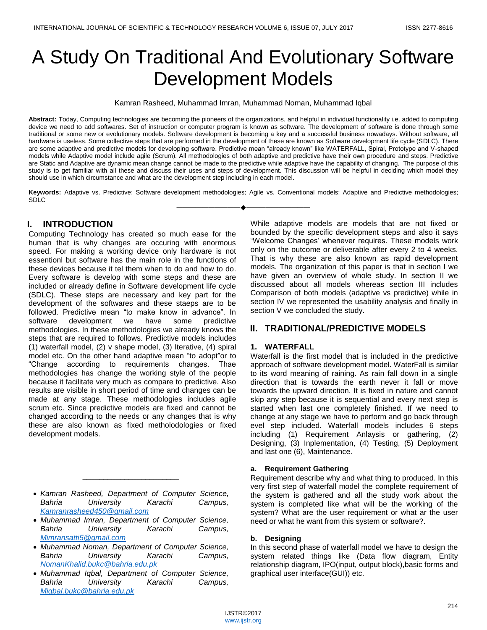# A Study On Traditional And Evolutionary Software Development Models

Kamran Rasheed, Muhammad Imran, Muhammad Noman, Muhammad Iqbal

**Abstract:** Today, Computing technologies are becoming the pioneers of the organizations, and helpful in individual functionality i.e. added to computing device we need to add softwares. Set of instruction or computer program is known as software. The development of software is done through some traditional or some new or evolutionary models. Software development is becoming a key and a successful business nowadays. Without software, all hardware is useless. Some collective steps that are performed in the development of these are known as Software development life cycle (SDLC). There are some adaptive and predictive models for developing software. Predictive mean "already known" like WATERFALL, Spiral, Prototype and V-shaped models while Adaptive model include agile (Scrum). All methodologies of both adaptive and predictive have their own procedure and steps. Predictive are Static and Adaptive are dynamic mean change cannot be made to the predictive while adaptive have the capability of changing. The purpose of this study is to get familiar with all these and discuss their uses and steps of development. This discussion will be helpful in deciding which model they should use in which circumstance and what are the development step including in each model.

**Keywords:** Adaptive vs. Predictive; Software development methodologies; Agile vs. Conventional models; Adaptive and Predictive methodologies; SDLC ————————————————————

# **I. INTRODUCTION**

Computing Technology has created so much ease for the human that is why changes are occuring with enormous speed. For making a working device only hardware is not essentionl but software has the main role in the functions of these devices because it tel them when to do and how to do. Every software is develop with some steps and these are included or already define in Software development life cycle (SDLC). These steps are necessary and key part for the development of the softwares and these staeps are to be followed. Predictive mean "to make know in advance". In software development we have some predictive methodologies. In these methodologies we already knows the steps that are required to follows. Predictive models includes (1) waterfall model, (2) v shape model, (3) Iterative, (4) spiral model etc. On the other hand adaptive mean "to adopt"or to "Change according to requirements changes. Thae methodologies has change the working style of the people because it facilitate very much as compare to predictive. Also results are visible in short period of time and changes can be made at any stage. These methodologies includes agile scrum etc. Since predictive models are fixed and cannot be changed according to the needs or any changes that is why these are also known as fixed metholodologies or fixed development models.

 *Kamran Rasheed, Department of Computer Science, Bahria University Karachi Campus, [Kamranrasheed450@gmail.com](mailto:Kamranrasheed450@gmail.com)*

\_\_\_\_\_\_\_\_\_\_\_\_\_\_\_\_\_\_\_\_\_\_\_

- *Muhammad Imran, Department of Computer Science, Bahria University Karachi Campus, [Mimransatti5@gmail.com](mailto:Mimransatti5@gmail.com)*
- *Muhammad Noman, Department of Computer Science, Bahria University Karachi Campus, [NomanKhalid.bukc@bahria.edu.pk](mailto:NomanKhalid.bukc@bahria.edu.pk)*
- *Muhammad Iqbal, Department of Computer Science, Bahria University Karachi Campus, [Miqbal.bukc@bahria.edu.pk](mailto:Miqbal.bukc@bahria.edu.pk)*

While adaptive models are models that are not fixed or bounded by the specific development steps and also it says "Welcome Changes' whenever requires. These models work only on the outcome or deliverable after every 2 to 4 weeks. That is why these are also known as rapid development models. The organization of this paper is that in section I we have given an overview of whole study. In section II we discussed about all models whereas section III includes Comparison of both models (adaptive vs predictive) while in section IV we represented the usability analysis and finally in section V we concluded the study.

# **II. TRADITIONAL/PREDICTIVE MODELS**

#### **1. WATERFALL**

Waterfall is the first model that is included in the predictive approach of software development model. WaterFall is similar to its word meaning of raining. As rain fall down in a single direction that is towards the earth never it fall or move towards the upward direction. It is fixed in nature and cannot skip any step because it is sequential and every next step is started when last one completely finished. If we need to change at any stage we have to perform and go back through evel step included. Waterfall models includes 6 steps including (1) Requirement Anlaysis or gathering, (2) Designing, (3) Inplementation, (4) Testing, (5) Deployment and last one (6), Maintenance.

#### **a. Requirement Gathering**

Requirement describe why and what thing to produced. In this very first step of waterfall model the complete requirement of the system is gathered and all the study work about the system is completed like what will be the working of the system? What are the user requirement or what ar the user need or what he want from this system or software?.

#### **b. Designing**

In this second phase of waterfall model we have to design the system related things like (Data flow diagram, Entity relationship diagram, IPO(input, output block),basic forms and graphical user interface(GUI)) etc.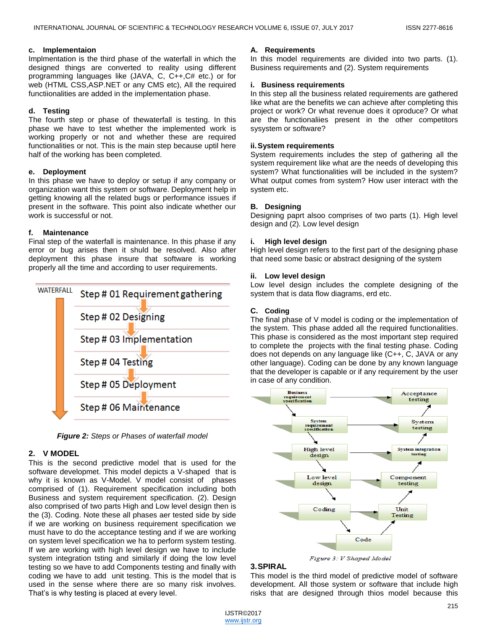#### **c. Implementaion**

Implmentation is the third phase of the waterfall in which the designed things are converted to reality using different programming languages like (JAVA, C, C++,C# etc.) or for web (HTML CSS,ASP.NET or any CMS etc), All the required functiionalities are added in the implementation phase.

## **d. Testing**

The fourth step or phase of thewaterfall is testing. In this phase we have to test whether the implemented work is working properly or not and whether these are required functionalities or not. This is the main step because uptil here half of the working has been completed.

## **e. Deployment**

In this phase we have to deploy or setup if any company or organization want this system or software. Deployment help in getting knowing all the related bugs or performance issues if present in the software. This point also indicate whether our work is successful or not.

## **f. Maintenance**

Final step of the waterfall is maintenance. In this phase if any error or bug arises then it shuld be resolved. Also after deployment this phase insure that software is working properly all the time and according to user requirements.



*Figure 2: Steps or Phases of waterfall model*

# **2. V MODEL**

This is the second predictive model that is used for the software developmet. This model depicts a V-shaped that is why it is known as V-Model. V model consist of phases comprised of (1). Requirement specification including both Business and system requirement specification. (2). Design also comprised of two parts High and Low level design then is the (3). Coding. Note these all phases aer tested side by side if we are working on business requirement specification we must have to do the acceptance testing and if we are working on system level specification we ha to perform system testing. If we are working with high level design we have to include system integration tsting and similarly if doing the low level testing so we have to add Components testing and finally with coding we have to add unit testing. This is the model that is used in the sense where there are so many risk involves. That's is why testing is placed at every level.

## **A. Requirements**

In this model requirements are divided into two parts. (1). Business requirements and (2). System requirements

## **i. Business requirements**

In this step all the business related requirements are gathered like what are the benefits we can achieve after completing this project or work? Or what revenue does it oproduce? Or what are the functionaliies present in the other competitors sysystem or software?

## **ii.System requirements**

System requirements includes the step of gathering all the system requirement like what are the needs of developing this system? What functionalities will be included in the system? What output comes from system? How user interact with the system etc.

## **B. Designing**

Designing paprt alsoo comprises of two parts (1). High level design and (2). Low level design

## **i. High level design**

High level design refers to the first part of the designing phase that need some basic or abstract designing of the system

## **ii. Low level design**

Low level design includes the complete designing of the system that is data flow diagrams, erd etc.

# **C. Coding**

The final phase of V model is coding or the implementation of the system. This phase added all the required functionalities. This phase is considered as the most important step required to complete the projects with the final testing phase. Coding does not depends on any language like (C++, C, JAVA or any other language). Coding can be done by any known language that the developer is capable or if any requirement by the user in case of any condition.



Figure 3: V Shaped Model

## **3.SPIRAL**

This model is the third model of predictive model of software development. All those system or software that include high risks that are designed through thios model because this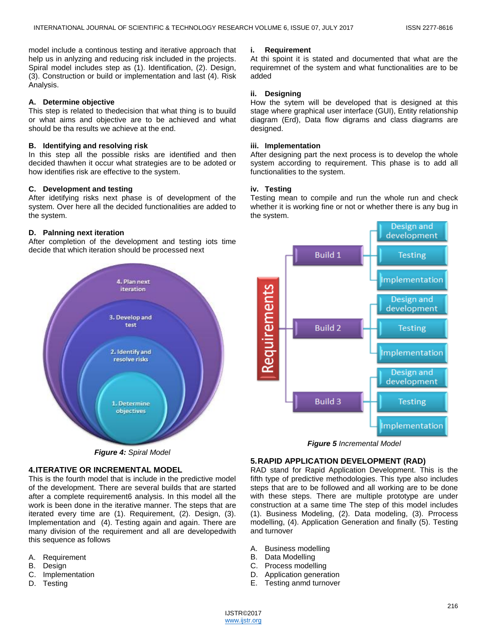model include a continous testing and iterative approach that help us in anlyzing and reducing risk included in the projects. Spiral model includes step as (1). Identification, (2). Design, (3). Construction or build or implementation and last (4). Risk Analysis.

#### **A. Determine objective**

This step is related to thedecision that what thing is to buuild or what aims and objective are to be achieved and what should be tha results we achieve at the end.

#### **B. Identifying and resolving risk**

In this step all the possible risks are identified and then decided thawhen it occur what strategies are to be adoted or how identifies risk are effective to the system.

#### **C. Development and testing**

After idetifying risks next phase is of development of the system. Over here all the decided functionalities are added to the system.

#### **D. Palnning next iteration**

After completion of the development and testing iots time decide that which iteration should be processed next

### **i. Requirement**

At thi spoint it is stated and documented that what are the requiremnet of the system and what functionalities are to be added

#### **ii. Designing**

How the sytem will be developed that is designed at this stage where graphical user interface (GUI), Entity relationship diagram (Erd), Data flow digrams and class diagrams are designed.

#### **iii. Implementation**

After designing part the next process is to develop the whole system according to requirement. This phase is to add all functionalities to the system.

#### **iv. Testing**

Testing mean to compile and run the whole run and check whether it is working fine or not or whether there is any bug in the system.



*Figure 4: Spiral Model*

# **4.ITERATIVE OR INCREMENTAL MODEL**

This is the fourth model that is include in the predictive model of the development. There are several builds that are started after a complete requirement6 analysis. In this model all the work is been done in the iterative manner. The steps that are iterated every time are (1). Requirement, (2). Design, (3). Implementation and (4). Testing again and again. There are many division of the requirement and all are developedwith this sequence as follows

- A. Requirement
- B. Design
- C. Implementation
- D. Testing



*Figure 5 Incremental Model*

#### **5.RAPID APPLICATION DEVELOPMENT (RAD)**

RAD stand for Rapid Application Development. This is the fifth type of predictive methodologies. This type also includes steps that are to be followed and all working are to be done with these steps. There are multiple prototype are under construction at a same time The step of this model includes (1). Business Modeling, (2). Data modeling, (3). Prrocess modelling, (4). Application Generation and finally (5). Testing and turnover

- A. Business modelling
- B. Data Modelling
- C. Process modelling
- D. Application generation
- E. Testing anmd turnover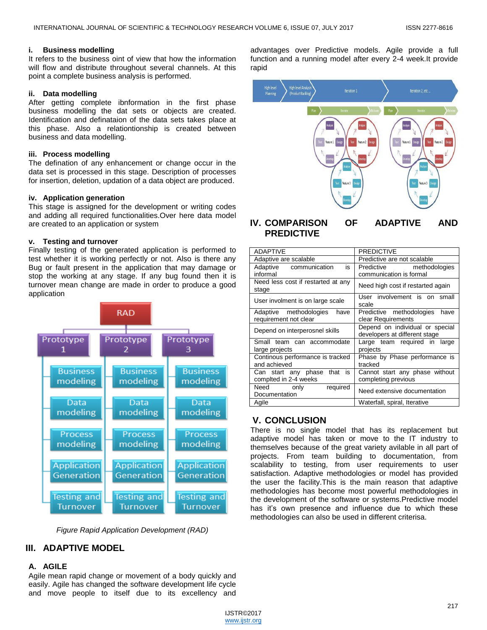#### **i. Business modelling**

It refers to the business oint of view that how the information will flow and distribute throughout several channels. At this point a complete business analysis is performed.

## **ii. Data modelling**

After getting complete ibnformation in the first phase business modelling the dat sets or objects are created. Identification and definataion of the data sets takes place at this phase. Also a relationtionship is created between business and data modelling.

### **iii. Process modelling**

The defination of any enhancement or change occur in the data set is processed in this stage. Description of processes for insertion, deletion, updation of a data object are produced.

### **iv. Application generation**

This stage is assigned for the development or writing codes and adding all required functionalities.Over here data model are created to an application or system

### **v. Testing and turnover**

Finally testing of the generated application is performed to test whether it is working perfectly or not. Also is there any Bug or fault present in the application that may damage or stop the working at any stage. If any bug found then it is turnover mean change are made in order to produce a good application



*Figure Rapid Application Development (RAD)*

# **III. ADAPTIVE MODEL**

## **A. AGILE**

Agile mean rapid change or movement of a body quickly and easily. Agile has changed the software development life cycle and move people to itself due to its excellency and advantages over Predictive models. Agile provide a full function and a running model after every 2-4 week.It provide rapid



# **IV. COMPARISON OF ADAPTIVE AND PREDICTIVE**

| <b>ADAPTIVE</b>                                         | <b>PREDICTIVE</b>                                                |
|---------------------------------------------------------|------------------------------------------------------------------|
| Adaptive are scalable                                   | Predictive are not scalable                                      |
| Adaptive communication<br>is<br>informal                | Predictive methodologies<br>communication is formal              |
| Need less cost if restarted at any<br>stage             | Need high cost if restarted again                                |
| User involment is on large scale                        | User involvement is on small<br>scale                            |
| Adaptive methodologies<br>have<br>requirement not clear | Predictive methodologies<br>have<br>clear Requirements           |
| Depend on interperosnel skills                          | Depend on individual or special<br>developers at different stage |
| Small team can accommodate<br>large projects            | Large team required in<br>large<br>projects                      |
| Continous performance is tracked<br>and achieved        | Phase by Phase performance is<br>tracked                         |
| that is<br>Can start any phase<br>complted in 2-4 weeks | Cannot start any phase without<br>completing previous            |
| required<br>Need only<br>Documentation                  | Need extensive documentation                                     |
| Agile                                                   | Waterfall, spiral, Iterative                                     |

# **V. CONCLUSION**

There is no single model that has its replacement but adaptive model has taken or move to the IT industry to themselves because of the great variety avilable in all part of projects. From team building to documentation, from scalability to testing, from user requirements to user satisfaction. Adaptive methodologies or model has provided the user the facility.This is the main reason that adaptive methodologies has become most powerful methodologies in the development of the software or systems.Predictive model has it's own presence and influence due to which these methodologies can also be used in different criterisa.